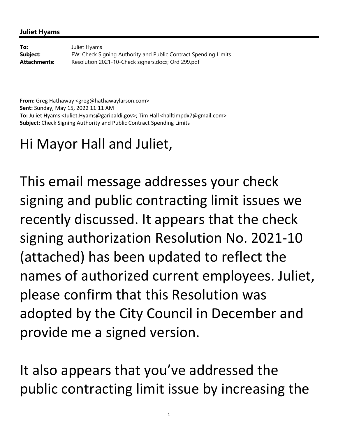**To:** Juliet Hyams **Subject:** FW: Check Signing Authority and Public Contract Spending Limits **Attachments:** Resolution 2021-10-Check signers.docx; Ord 299.pdf

**From:** Greg Hathaway <greg@hathawaylarson.com> **Sent:** Sunday, May 15, 2022 11:11 AM **To:** Juliet Hyams <Juliet.Hyams@garibaldi.gov>; Tim Hall <halltimpdx7@gmail.com> **Subject:** Check Signing Authority and Public Contract Spending Limits

## Hi Mayor Hall and Juliet,

This email message addresses your check signing and public contracting limit issues we recently discussed. It appears that the check signing authorization Resolution No. 2021‐10 (attached) has been updated to reflect the names of authorized current employees. Juliet, please confirm that this Resolution was adopted by the City Council in December and provide me a signed version.

It also appears that you've addressed the public contracting limit issue by increasing the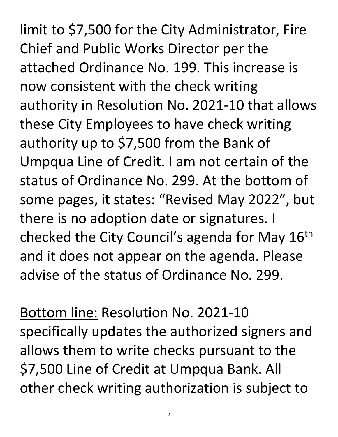limit to \$7,500 for the City Administrator, Fire Chief and Public Works Director per the attached Ordinance No. 199. This increase is now consistent with the check writing authority in Resolution No. 2021‐10 that allows these City Employees to have check writing authority up to \$7,500 from the Bank of Umpqua Line of Credit. I am not certain of the status of Ordinance No. 299. At the bottom of some pages, it states: "Revised May 2022", but there is no adoption date or signatures. I checked the City Council's agenda for May 16<sup>th</sup> and it does not appear on the agenda. Please advise of the status of Ordinance No. 299.

Bottom line: Resolution No. 2021‐10 specifically updates the authorized signers and allows them to write checks pursuant to the \$7,500 Line of Credit at Umpqua Bank. All other check writing authorization is subject to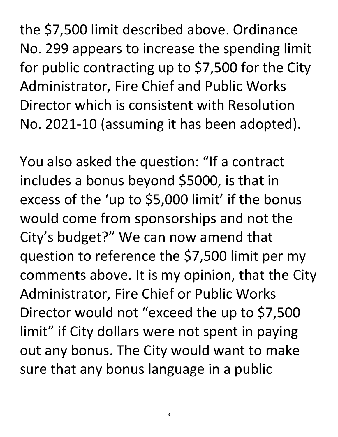the \$7,500 limit described above. Ordinance No. 299 appears to increase the spending limit for public contracting up to \$7,500 for the City Administrator, Fire Chief and Public Works Director which is consistent with Resolution No. 2021‐10 (assuming it has been adopted).

You also asked the question: "If a contract includes a bonus beyond \$5000, is that in excess of the 'up to \$5,000 limit' if the bonus would come from sponsorships and not the City's budget?" We can now amend that question to reference the \$7,500 limit per my comments above. It is my opinion, that the City Administrator, Fire Chief or Public Works Director would not "exceed the up to \$7,500 limit" if City dollars were not spent in paying out any bonus. The City would want to make sure that any bonus language in a public